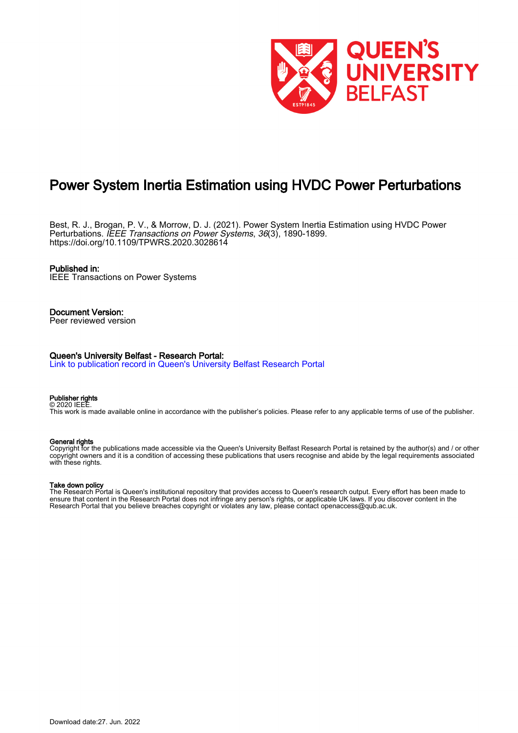

# Power System Inertia Estimation using HVDC Power Perturbations

Best, R. J., Brogan, P. V., & Morrow, D. J. (2021). Power System Inertia Estimation using HVDC Power Perturbations. IEEE Transactions on Power Systems, 36(3), 1890-1899. <https://doi.org/10.1109/TPWRS.2020.3028614>

Published in:

IEEE Transactions on Power Systems

Document Version: Peer reviewed version

Queen's University Belfast - Research Portal:

[Link to publication record in Queen's University Belfast Research Portal](https://pure.qub.ac.uk/en/publications/ff4992a4-4977-419c-9c02-85cc5ce66f36)

#### Publisher rights © 2020 IEEE.

This work is made available online in accordance with the publisher's policies. Please refer to any applicable terms of use of the publisher.

# General rights

Copyright for the publications made accessible via the Queen's University Belfast Research Portal is retained by the author(s) and / or other copyright owners and it is a condition of accessing these publications that users recognise and abide by the legal requirements associated with these rights.

# Take down policy

The Research Portal is Queen's institutional repository that provides access to Queen's research output. Every effort has been made to ensure that content in the Research Portal does not infringe any person's rights, or applicable UK laws. If you discover content in the Research Portal that you believe breaches copyright or violates any law, please contact openaccess@qub.ac.uk.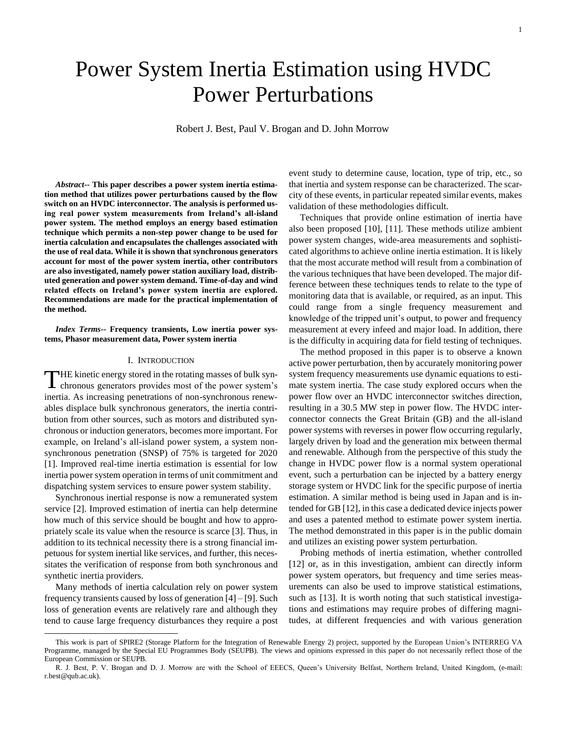# Power System Inertia Estimation using HVDC Power Perturbations

Robert J. Best, Paul V. Brogan and D. John Morrow

*Abstract***-- This paper describes a power system inertia estimation method that utilizes power perturbations caused by the flow switch on an HVDC interconnector. The analysis is performed using real power system measurements from Ireland's all-island power system. The method employs an energy based estimation technique which permits a non-step power change to be used for inertia calculation and encapsulates the challenges associated with the use of real data. While it is shown that synchronous generators account for most of the power system inertia, other contributors are also investigated, namely power station auxiliary load, distributed generation and power system demand. Time-of-day and wind related effects on Ireland's power system inertia are explored. Recommendations are made for the practical implementation of the method.**

*Index Terms***-- Frequency transients, Low inertia power systems, Phasor measurement data, Power system inertia**

#### I. INTRODUCTION

HE kinetic energy stored in the rotating masses of bulk syn-THE kinetic energy stored in the rotating masses of bulk synchronous generators provides most of the power system's inertia. As increasing penetrations of non-synchronous renewables displace bulk synchronous generators, the inertia contribution from other sources, such as motors and distributed synchronous or induction generators, becomes more important. For example, on Ireland's all-island power system, a system nonsynchronous penetration (SNSP) of 75% is targeted for 2020 [1]. Improved real-time inertia estimation is essential for low inertia power system operation in terms of unit commitment and dispatching system services to ensure power system stability.

Synchronous inertial response is now a remunerated system service [2]. Improved estimation of inertia can help determine how much of this service should be bought and how to appropriately scale its value when the resource is scarce [3]. Thus, in addition to its technical necessity there is a strong financial impetuous for system inertial like services, and further, this necessitates the verification of response from both synchronous and synthetic inertia providers.

Many methods of inertia calculation rely on power system frequency transients caused by loss of generation [4] – [9]. Such loss of generation events are relatively rare and although they tend to cause large frequency disturbances they require a post event study to determine cause, location, type of trip, etc., so that inertia and system response can be characterized. The scarcity of these events, in particular repeated similar events, makes validation of these methodologies difficult.

Techniques that provide online estimation of inertia have also been proposed [10], [11]. These methods utilize ambient power system changes, wide-area measurements and sophisticated algorithms to achieve online inertia estimation. It is likely that the most accurate method will result from a combination of the various techniques that have been developed. The major difference between these techniques tends to relate to the type of monitoring data that is available, or required, as an input. This could range from a single frequency measurement and knowledge of the tripped unit's output, to power and frequency measurement at every infeed and major load. In addition, there is the difficulty in acquiring data for field testing of techniques.

The method proposed in this paper is to observe a known active power perturbation, then by accurately monitoring power system frequency measurements use dynamic equations to estimate system inertia. The case study explored occurs when the power flow over an HVDC interconnector switches direction, resulting in a 30.5 MW step in power flow. The HVDC interconnector connects the Great Britain (GB) and the all-island power systems with reverses in power flow occurring regularly, largely driven by load and the generation mix between thermal and renewable. Although from the perspective of this study the change in HVDC power flow is a normal system operational event, such a perturbation can be injected by a battery energy storage system or HVDC link for the specific purpose of inertia estimation. A similar method is being used in Japan and is intended for G[B \[12\],](#page-10-0) in this case a dedicated device injects power and uses a patented method to estimate power system inertia. The method demonstrated in this paper is in the public domain and utilizes an existing power system perturbation.

Probing methods of inertia estimation, whether controlled [\[12\]](#page-10-0) or, as in this investigation, ambient can directly inform power system operators, but frequency and time series measurements can also be used to improve statistical estimations, such as [\[13\].](#page-10-1) It is worth noting that such statistical investigations and estimations may require probes of differing magnitudes, at different frequencies and with various generation

This work is part of SPIRE2 (Storage Platform for the Integration of Renewable Energy 2) project, supported by the European Union's INTERREG VA Programme, managed by the Special EU Programmes Body (SEUPB). The views and opinions expressed in this paper do not necessarily reflect those of the European Commission or SEUPB.

R. J. Best, P. V. Brogan and D. J. Morrow are with the School of EEECS, Queen's University Belfast, Northern Ireland, United Kingdom, (e-mail: r.best@qub.ac.uk).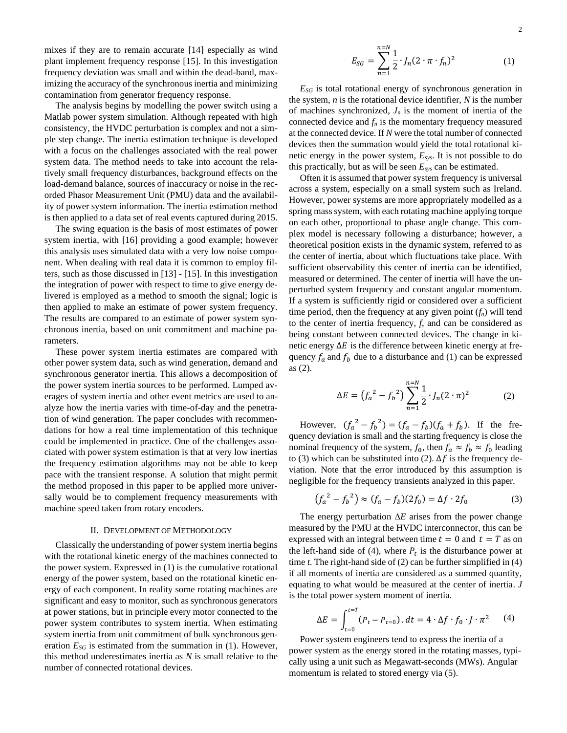mixes if they are to remain accurate [\[14\]](#page-10-2) especially as wind plant implement frequency response [\[15\].](#page-10-3) In this investigation frequency deviation was small and within the dead-band, maximizing the accuracy of the synchronous inertia and minimizing contamination from generator frequency response.

The analysis begins by modelling the power switch using a Matlab power system simulation. Although repeated with high consistency, the HVDC perturbation is complex and not a simple step change. The inertia estimation technique is developed with a focus on the challenges associated with the real power system data. The method needs to take into account the relatively small frequency disturbances, background effects on the load-demand balance, sources of inaccuracy or noise in the recorded Phasor Measurement Unit (PMU) data and the availability of power system information. The inertia estimation method is then applied to a data set of real events captured during 2015.

The swing equation is the basis of most estimates of power system inertia, with [\[16\]](#page-10-4) providing a good example; however this analysis uses simulated data with a very low noise component. When dealing with real data it is common to employ filters, such as those discussed in [\[13\]](#page-10-1) - [\[15\].](#page-10-3) In this investigation the integration of power with respect to time to give energy delivered is employed as a method to smooth the signal; logic is then applied to make an estimate of power system frequency. The results are compared to an estimate of power system synchronous inertia, based on unit commitment and machine parameters.

These power system inertia estimates are compared with other power system data, such as wind generation, demand and synchronous generator inertia. This allows a decomposition of the power system inertia sources to be performed. Lumped averages of system inertia and other event metrics are used to analyze how the inertia varies with time-of-day and the penetration of wind generation. The paper concludes with recommendations for how a real time implementation of this technique could be implemented in practice. One of the challenges associated with power system estimation is that at very low inertias the frequency estimation algorithms may not be able to keep pace with the transient response. A solution that might permit the method proposed in this paper to be applied more universally would be to complement frequency measurements with machine speed taken from rotary encoders.

#### II. DEVELOPMENT OF METHODOLOGY

Classically the understanding of power system inertia begins with the rotational kinetic energy of the machines connected to the power system. Expressed in (1) is the cumulative rotational energy of the power system, based on the rotational kinetic energy of each component. In reality some rotating machines are significant and easy to monitor, such as synchronous generators at power stations, but in principle every motor connected to the power system contributes to system inertia. When estimating system inertia from unit commitment of bulk synchronous generation  $E_{SG}$  is estimated from the summation in (1). However, this method underestimates inertia as *N* is small relative to the number of connected rotational devices.

$$
E_{SG} = \sum_{n=1}^{n=N} \frac{1}{2} \cdot J_n (2 \cdot \pi \cdot f_n)^2
$$
 (1)

*ESG* is total rotational energy of synchronous generation in the system, *n* is the rotational device identifier, *N* is the number of machines synchronized,  $J_n$  is the moment of inertia of the connected device and  $f_n$  is the momentary frequency measured at the connected device. If *N* were the total number of connected devices then the summation would yield the total rotational kinetic energy in the power system, *Esys*. It is not possible to do this practically, but as will be seen *Esys* can be estimated.

Often it is assumed that power system frequency is universal across a system, especially on a small system such as Ireland. However, power systems are more appropriately modelled as a spring mass system, with each rotating machine applying torque on each other, proportional to phase angle change. This complex model is necessary following a disturbance; however, a theoretical position exists in the dynamic system, referred to as the center of inertia, about which fluctuations take place. With sufficient observability this center of inertia can be identified, measured or determined. The center of inertia will have the unperturbed system frequency and constant angular momentum. If a system is sufficiently rigid or considered over a sufficient time period, then the frequency at any given point (*fn*) will tend to the center of inertia frequency, *f*, and can be considered as being constant between connected devices. The change in kinetic energy  $\Delta E$  is the difference between kinetic energy at frequency  $f_a$  and  $f_b$  due to a disturbance and (1) can be expressed as (2).

$$
\Delta E = (f_a^2 - f_b^2) \sum_{n=1}^{n=N} \frac{1}{2} \cdot J_n (2 \cdot \pi)^2
$$
 (2)

However,  $(f_a^2 - f_b^2) = (f_a - f_b)(f_a + f_b)$ . If the frequency deviation is small and the starting frequency is close the nominal frequency of the system,  $f_0$ , then  $f_a \approx f_b \approx f_0$  leading to (3) which can be substituted into (2).  $\Delta f$  is the frequency deviation. Note that the error introduced by this assumption is negligible for the frequency transients analyzed in this paper.

$$
(f_a^2 - f_b^2) \approx (f_a - f_b)(2f_0) = \Delta f \cdot 2f_0 \tag{3}
$$

The energy perturbation  $\Delta E$  arises from the power change measured by the PMU at the HVDC interconnector, this can be expressed with an integral between time  $t = 0$  and  $t = T$  as on the left-hand side of (4), where  $P_t$  is the disturbance power at time *t*. The right-hand side of (2) can be further simplified in (4) if all moments of inertia are considered as a summed quantity, equating to what would be measured at the center of inertia. *J* is the total power system moment of inertia.

$$
\Delta E = \int_{t=0}^{t=T} (P_t - P_{t=0}) \cdot dt = 4 \cdot \Delta f \cdot f_0 \cdot J \cdot \pi^2 \qquad (4)
$$

Power system engineers tend to express the inertia of a power system as the energy stored in the rotating masses, typically using a unit such as Megawatt-seconds (MWs). Angular momentum is related to stored energy via  $(5)$ .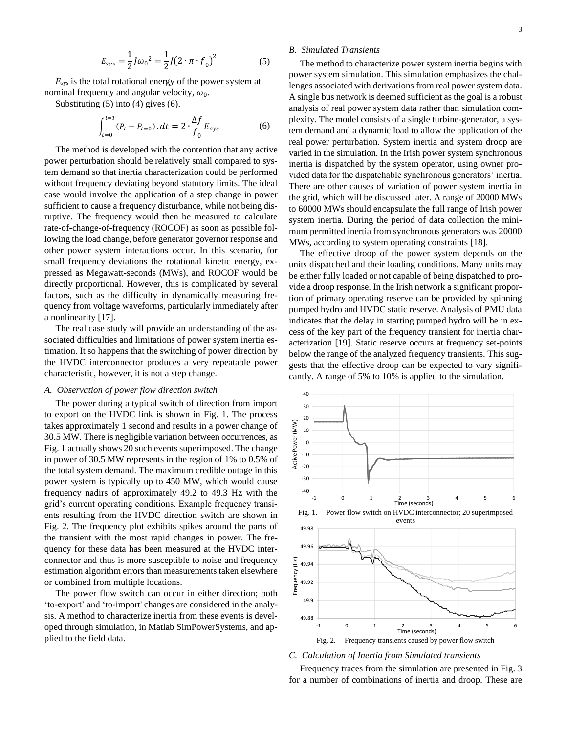$$
E_{sys} = \frac{1}{2} J \omega_0^2 = \frac{1}{2} J (2 \cdot \pi \cdot f_0)^2
$$
 (5)

*Esys* is the total rotational energy of the power system at nominal frequency and angular velocity,  $\omega_0$ .

Substituting (5) into (4) gives (6).

$$
\int_{t=0}^{t=T} (P_t - P_{t=0}) \cdot dt = 2 \cdot \frac{\Delta f}{f_0} E_{sys} \tag{6}
$$

The method is developed with the contention that any active power perturbation should be relatively small compared to system demand so that inertia characterization could be performed without frequency deviating beyond statutory limits. The ideal case would involve the application of a step change in power sufficient to cause a frequency disturbance, while not being disruptive. The frequency would then be measured to calculate rate-of-change-of-frequency (ROCOF) as soon as possible following the load change, before generator governor response and other power system interactions occur. In this scenario, for small frequency deviations the rotational kinetic energy, expressed as Megawatt-seconds (MWs), and ROCOF would be directly proportional. However, this is complicated by several factors, such as the difficulty in dynamically measuring frequency from voltage waveforms, particularly immediately after a nonlinearity [17].

The real case study will provide an understanding of the associated difficulties and limitations of power system inertia estimation. It so happens that the switching of power direction by the HVDC interconnector produces a very repeatable power characteristic, however, it is not a step change.

#### *A. Observation of power flow direction switch*

The power during a typical switch of direction from import to export on the HVDC link is shown in Fig. 1. The process takes approximately 1 second and results in a power change of 30.5 MW. There is negligible variation between occurrences, as Fig. 1 actually shows 20 such events superimposed. The change in power of 30.5 MW represents in the region of 1% to 0.5% of the total system demand. The maximum credible outage in this power system is typically up to 450 MW, which would cause frequency nadirs of approximately 49.2 to 49.3 Hz with the grid's current operating conditions. Example frequency transients resulting from the HVDC direction switch are shown in Fig. 2. The frequency plot exhibits spikes around the parts of the transient with the most rapid changes in power. The frequency for these data has been measured at the HVDC interconnector and thus is more susceptible to noise and frequency estimation algorithm errors than measurements taken elsewhere or combined from multiple locations.

The power flow switch can occur in either direction; both 'to-export' and 'to-import' changes are considered in the analysis. A method to characterize inertia from these events is developed through simulation, in Matlab SimPowerSystems, and applied to the field data.

# *B. Simulated Transients*

The method to characterize power system inertia begins with power system simulation. This simulation emphasizes the challenges associated with derivations from real power system data. A single bus network is deemed sufficient as the goal is a robust analysis of real power system data rather than simulation complexity. The model consists of a single turbine-generator, a system demand and a dynamic load to allow the application of the real power perturbation. System inertia and system droop are varied in the simulation. In the Irish power system synchronous inertia is dispatched by the system operator, using owner provided data for the dispatchable synchronous generators' inertia. There are other causes of variation of power system inertia in the grid, which will be discussed later. A range of 20000 MWs to 60000 MWs should encapsulate the full range of Irish power system inertia. During the period of data collection the minimum permitted inertia from synchronous generators was 20000 MWs, according to system operating constraints [18].

The effective droop of the power system depends on the units dispatched and their loading conditions. Many units may be either fully loaded or not capable of being dispatched to provide a droop response. In the Irish network a significant proportion of primary operating reserve can be provided by spinning pumped hydro and HVDC static reserve. Analysis of PMU data indicates that the delay in starting pumped hydro will be in excess of the key part of the frequency transient for inertia characterization [19]. Static reserve occurs at frequency set-points below the range of the analyzed frequency transients. This suggests that the effective droop can be expected to vary significantly. A range of 5% to 10% is applied to the simulation.



*C. Calculation of Inertia from Simulated transients*

Frequency traces from the simulation are presented in Fig. 3 for a number of combinations of inertia and droop. These are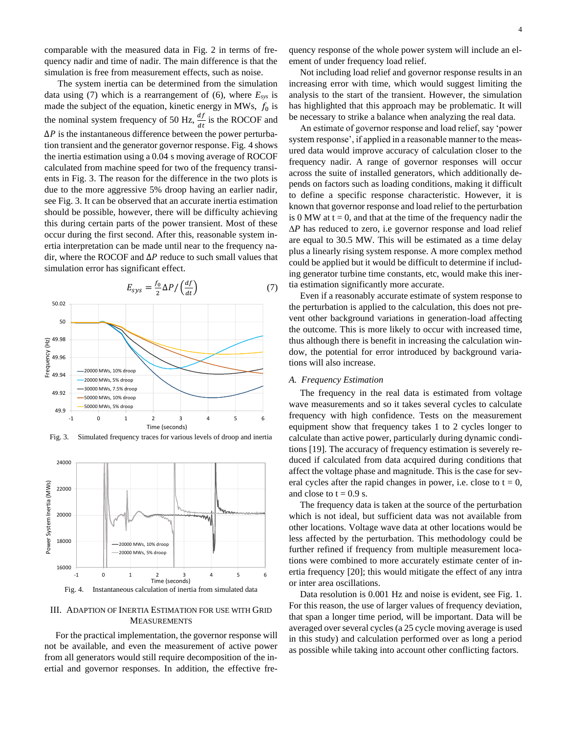comparable with the measured data in Fig. 2 in terms of frequency nadir and time of nadir. The main difference is that the simulation is free from measurement effects, such as noise.

The system inertia can be determined from the simulation data using (7) which is a rearrangement of (6), where *Esys* is made the subject of the equation, kinetic energy in MWs,  $f_0$  is the nominal system frequency of 50 Hz,  $\frac{df}{dt}$  is the ROCOF and  $\Delta P$  is the instantaneous difference between the power perturbation transient and the generator governor response. Fig. 4 shows the inertia estimation using a 0.04 s moving average of ROCOF calculated from machine speed for two of the frequency transients in Fig. 3. The reason for the difference in the two plots is due to the more aggressive 5% droop having an earlier nadir, see Fig. 3. It can be observed that an accurate inertia estimation should be possible, however, there will be difficulty achieving this during certain parts of the power transient. Most of these occur during the first second. After this, reasonable system inertia interpretation can be made until near to the frequency nadir, where the ROCOF and  $\Delta P$  reduce to such small values that simulation error has significant effect.



Fig. 3. Simulated frequency traces for various levels of droop and inertia



# III. ADAPTION OF INERTIA ESTIMATION FOR USE WITH GRID MEASUREMENTS

For the practical implementation, the governor response will not be available, and even the measurement of active power from all generators would still require decomposition of the inertial and governor responses. In addition, the effective fre-

quency response of the whole power system will include an element of under frequency load relief.

Not including load relief and governor response results in an increasing error with time, which would suggest limiting the analysis to the start of the transient. However, the simulation has highlighted that this approach may be problematic. It will be necessary to strike a balance when analyzing the real data.

An estimate of governor response and load relief, say 'power system response', if applied in a reasonable manner to the measured data would improve accuracy of calculation closer to the frequency nadir. A range of governor responses will occur across the suite of installed generators, which additionally depends on factors such as loading conditions, making it difficult to define a specific response characteristic. However, it is known that governor response and load relief to the perturbation is 0 MW at  $t = 0$ , and that at the time of the frequency nadir the ∆*P* has reduced to zero, i.e governor response and load relief are equal to 30.5 MW. This will be estimated as a time delay plus a linearly rising system response. A more complex method could be applied but it would be difficult to determine if including generator turbine time constants, etc, would make this inertia estimation significantly more accurate.

Even if a reasonably accurate estimate of system response to the perturbation is applied to the calculation, this does not prevent other background variations in generation-load affecting the outcome. This is more likely to occur with increased time, thus although there is benefit in increasing the calculation window, the potential for error introduced by background variations will also increase.

#### *A. Frequency Estimation*

The frequency in the real data is estimated from voltage wave measurements and so it takes several cycles to calculate frequency with high confidence. Tests on the measurement equipment show that frequency takes 1 to 2 cycles longer to calculate than active power, particularly during dynamic conditions [19]. The accuracy of frequency estimation is severely reduced if calculated from data acquired during conditions that affect the voltage phase and magnitude. This is the case for several cycles after the rapid changes in power, i.e. close to  $t = 0$ , and close to  $t = 0.9$  s.

The frequency data is taken at the source of the perturbation which is not ideal, but sufficient data was not available from other locations. Voltage wave data at other locations would be less affected by the perturbation. This methodology could be further refined if frequency from multiple measurement locations were combined to more accurately estimate center of inertia frequency [20]; this would mitigate the effect of any intra or inter area oscillations.

Data resolution is 0.001 Hz and noise is evident, see Fig. 1. For this reason, the use of larger values of frequency deviation, that span a longer time period, will be important. Data will be averaged over several cycles (a 25 cycle moving average is used in this study) and calculation performed over as long a period as possible while taking into account other conflicting factors.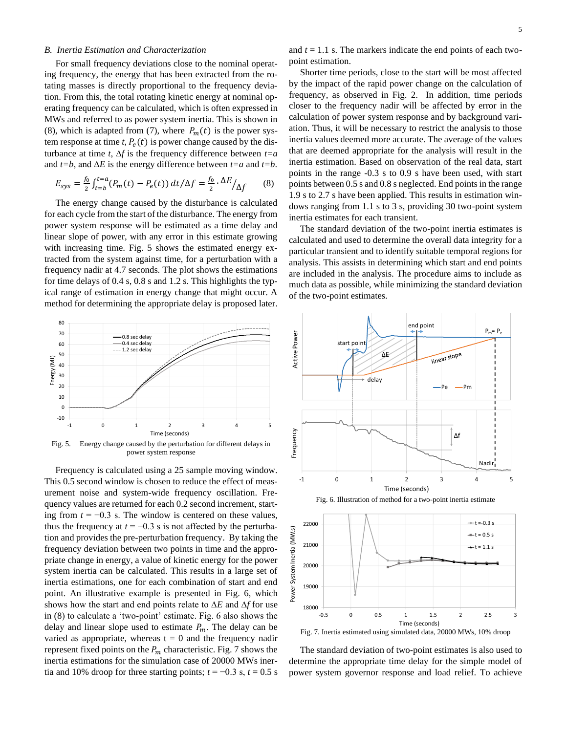# *B. Inertia Estimation and Characterization*

For small frequency deviations close to the nominal operating frequency, the energy that has been extracted from the rotating masses is directly proportional to the frequency deviation. From this, the total rotating kinetic energy at nominal operating frequency can be calculated, which is often expressed in MWs and referred to as power system inertia. This is shown in (8), which is adapted from (7), where  $P_m(t)$  is the power system response at time  $t$ ,  $P_e(t)$  is power change caused by the disturbance at time *t*, ∆*f* is the frequency difference between *t=a* and *t=b*, and ∆*E* is the energy difference between *t=a* and *t=b*.

$$
E_{sys} = \frac{f_0}{2} \int_{t=b}^{t=a} (P_m(t) - P_e(t)) dt / \Delta f = \frac{f_0}{2} \cdot \Delta E / \Delta f \tag{8}
$$

The energy change caused by the disturbance is calculated for each cycle from the start of the disturbance. The energy from power system response will be estimated as a time delay and linear slope of power, with any error in this estimate growing with increasing time. Fig. 5 shows the estimated energy extracted from the system against time, for a perturbation with a frequency nadir at 4.7 seconds. The plot shows the estimations for time delays of 0.4 s, 0.8 s and 1.2 s. This highlights the typical range of estimation in energy change that might occur. A method for determining the appropriate delay is proposed later.



power system response

Frequency is calculated using a 25 sample moving window. This 0.5 second window is chosen to reduce the effect of measurement noise and system-wide frequency oscillation. Frequency values are returned for each 0.2 second increment, starting from *t* = −0.3 s. The window is centered on these values, thus the frequency at  $t = -0.3$  s is not affected by the perturbation and provides the pre-perturbation frequency. By taking the frequency deviation between two points in time and the appropriate change in energy, a value of kinetic energy for the power system inertia can be calculated. This results in a large set of inertia estimations, one for each combination of start and end point. An illustrative example is presented in Fig. 6, which shows how the start and end points relate to ∆*E* and ∆*f* for use in (8) to calculate a 'two-point' estimate. Fig. 6 also shows the delay and linear slope used to estimate  $P_m$ . The delay can be varied as appropriate, whereas  $t = 0$  and the frequency nadir represent fixed points on the  $P_m$  characteristic. Fig. 7 shows the inertia estimations for the simulation case of 20000 MWs inertia and 10% droop for three starting points;  $t = -0.3$  s,  $t = 0.5$  s

and  $t = 1.1$  s. The markers indicate the end points of each twopoint estimation.

Shorter time periods, close to the start will be most affected by the impact of the rapid power change on the calculation of frequency, as observed in Fig. 2. In addition, time periods closer to the frequency nadir will be affected by error in the calculation of power system response and by background variation. Thus, it will be necessary to restrict the analysis to those inertia values deemed more accurate. The average of the values that are deemed appropriate for the analysis will result in the inertia estimation. Based on observation of the real data, start points in the range -0.3 s to 0.9 s have been used, with start points between 0.5 s and 0.8 s neglected. End points in the range 1.9 s to 2.7 s have been applied. This results in estimation windows ranging from 1.1 s to 3 s, providing 30 two-point system inertia estimates for each transient.

The standard deviation of the two-point inertia estimates is calculated and used to determine the overall data integrity for a particular transient and to identify suitable temporal regions for analysis. This assists in determining which start and end points are included in the analysis. The procedure aims to include as much data as possible, while minimizing the standard deviation of the two-point estimates.



The standard deviation of two-point estimates is also used to determine the appropriate time delay for the simple model of power system governor response and load relief. To achieve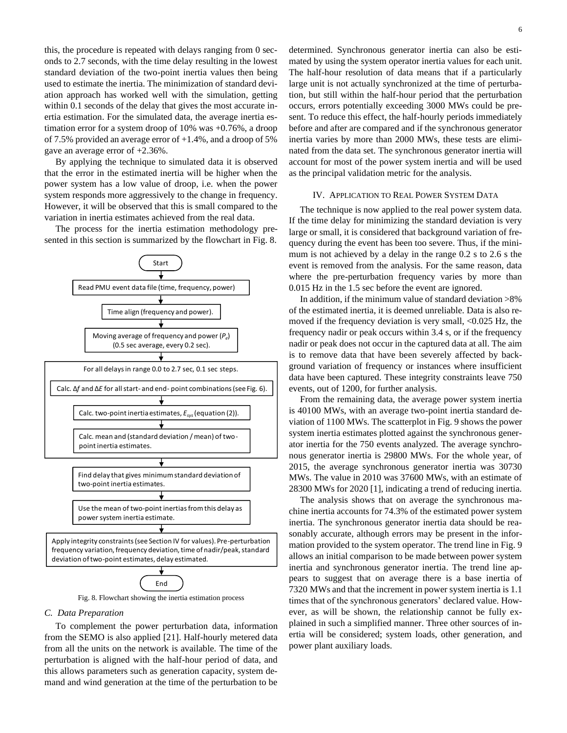this, the procedure is repeated with delays ranging from 0 seconds to 2.7 seconds, with the time delay resulting in the lowest standard deviation of the two-point inertia values then being used to estimate the inertia. The minimization of standard deviation approach has worked well with the simulation, getting within 0.1 seconds of the delay that gives the most accurate inertia estimation. For the simulated data, the average inertia estimation error for a system droop of 10% was +0.76%, a droop of 7.5% provided an average error of  $+1.4\%$ , and a droop of 5% gave an average error of +2.36%.

By applying the technique to simulated data it is observed that the error in the estimated inertia will be higher when the power system has a low value of droop, i.e. when the power system responds more aggressively to the change in frequency. However, it will be observed that this is small compared to the variation in inertia estimates achieved from the real data.

The process for the inertia estimation methodology presented in this section is summarized by the flowchart in Fig. 8.



Fig. 8. Flowchart showing the inertia estimation process

#### *C. Data Preparation*

To complement the power perturbation data, information from the SEMO is also applied [21]. Half-hourly metered data from all the units on the network is available. The time of the perturbation is aligned with the half-hour period of data, and this allows parameters such as generation capacity, system demand and wind generation at the time of the perturbation to be

determined. Synchronous generator inertia can also be estimated by using the system operator inertia values for each unit. The half-hour resolution of data means that if a particularly large unit is not actually synchronized at the time of perturbation, but still within the half-hour period that the perturbation occurs, errors potentially exceeding 3000 MWs could be present. To reduce this effect, the half-hourly periods immediately before and after are compared and if the synchronous generator inertia varies by more than 2000 MWs, these tests are eliminated from the data set. The synchronous generator inertia will account for most of the power system inertia and will be used as the principal validation metric for the analysis.

## IV. APPLICATION TO REAL POWER SYSTEM DATA

The technique is now applied to the real power system data. If the time delay for minimizing the standard deviation is very large or small, it is considered that background variation of frequency during the event has been too severe. Thus, if the minimum is not achieved by a delay in the range 0.2 s to 2.6 s the event is removed from the analysis. For the same reason, data where the pre-perturbation frequency varies by more than 0.015 Hz in the 1.5 sec before the event are ignored.

In addition, if the minimum value of standard deviation >8% of the estimated inertia, it is deemed unreliable. Data is also removed if the frequency deviation is very small, <0.025 Hz, the frequency nadir or peak occurs within 3.4 s, or if the frequency nadir or peak does not occur in the captured data at all. The aim is to remove data that have been severely affected by background variation of frequency or instances where insufficient data have been captured. These integrity constraints leave 750 events, out of 1200, for further analysis.

From the remaining data, the average power system inertia is 40100 MWs, with an average two-point inertia standard deviation of 1100 MWs. The scatterplot in Fig. 9 shows the power system inertia estimates plotted against the synchronous generator inertia for the 750 events analyzed. The average synchronous generator inertia is 29800 MWs. For the whole year, of 2015, the average synchronous generator inertia was 30730 MWs. The value in 2010 was 37600 MWs, with an estimate of 28300 MWs for 2020 [1], indicating a trend of reducing inertia.

The analysis shows that on average the synchronous machine inertia accounts for 74.3% of the estimated power system inertia. The synchronous generator inertia data should be reasonably accurate, although errors may be present in the information provided to the system operator. The trend line in Fig. 9 allows an initial comparison to be made between power system inertia and synchronous generator inertia. The trend line appears to suggest that on average there is a base inertia of 7320 MWs and that the increment in power system inertia is 1.1 times that of the synchronous generators' declared value. However, as will be shown, the relationship cannot be fully explained in such a simplified manner. Three other sources of inertia will be considered; system loads, other generation, and power plant auxiliary loads.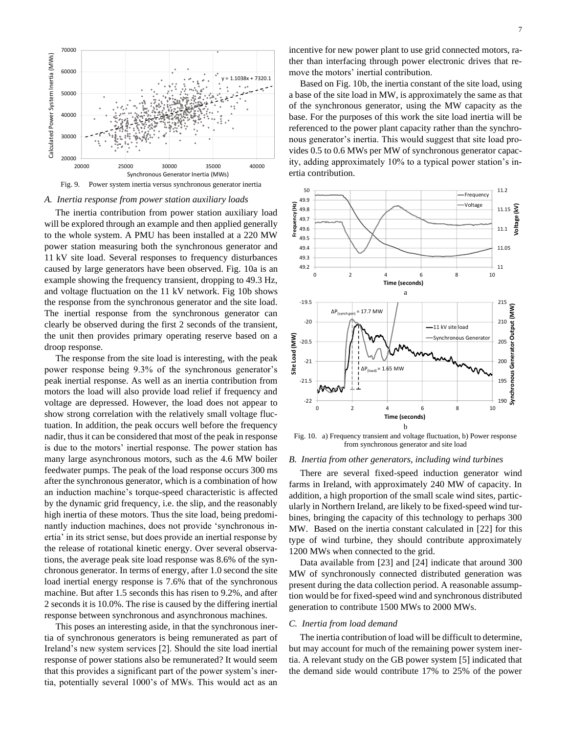

#### *A. Inertia response from power station auxiliary loads*

The inertia contribution from power station auxiliary load will be explored through an example and then applied generally to the whole system. A PMU has been installed at a 220 MW power station measuring both the synchronous generator and 11 kV site load. Several responses to frequency disturbances caused by large generators have been observed. Fig. 10a is an example showing the frequency transient, dropping to 49.3 Hz, and voltage fluctuation on the 11 kV network. Fig 10b shows the response from the synchronous generator and the site load. The inertial response from the synchronous generator can clearly be observed during the first 2 seconds of the transient, the unit then provides primary operating reserve based on a droop response.

The response from the site load is interesting, with the peak power response being 9.3% of the synchronous generator's peak inertial response. As well as an inertia contribution from motors the load will also provide load relief if frequency and voltage are depressed. However, the load does not appear to show strong correlation with the relatively small voltage fluctuation. In addition, the peak occurs well before the frequency nadir, thus it can be considered that most of the peak in response is due to the motors' inertial response. The power station has many large asynchronous motors, such as the 4.6 MW boiler feedwater pumps. The peak of the load response occurs 300 ms after the synchronous generator, which is a combination of how an induction machine's torque-speed characteristic is affected by the dynamic grid frequency, i.e. the slip, and the reasonably high inertia of these motors. Thus the site load, being predominantly induction machines, does not provide 'synchronous inertia' in its strict sense, but does provide an inertial response by the release of rotational kinetic energy. Over several observations, the average peak site load response was 8.6% of the synchronous generator. In terms of energy, after 1.0 second the site load inertial energy response is 7.6% that of the synchronous machine. But after 1.5 seconds this has risen to 9.2%, and after 2 seconds it is 10.0%. The rise is caused by the differing inertial response between synchronous and asynchronous machines.

This poses an interesting aside, in that the synchronous inertia of synchronous generators is being remunerated as part of Ireland's new system services [2]. Should the site load inertial response of power stations also be remunerated? It would seem that this provides a significant part of the power system's inertia, potentially several 1000's of MWs. This would act as an

Based on Fig. 10b, the inertia constant of the site load, using a base of the site load in MW, is approximately the same as that of the synchronous generator, using the MW capacity as the base. For the purposes of this work the site load inertia will be referenced to the power plant capacity rather than the synchronous generator's inertia. This would suggest that site load provides 0.5 to 0.6 MWs per MW of synchronous generator capacity, adding approximately 10% to a typical power station's inertia contribution.



Fig. 10. a) Frequency transient and voltage fluctuation, b) Power response from synchronous generator and site load

#### *B. Inertia from other generators, including wind turbines*

There are several fixed-speed induction generator wind farms in Ireland, with approximately 240 MW of capacity. In addition, a high proportion of the small scale wind sites, particularly in Northern Ireland, are likely to be fixed-speed wind turbines, bringing the capacity of this technology to perhaps 300 MW. Based on the inertia constant calculated in [22] for this type of wind turbine, they should contribute approximately 1200 MWs when connected to the grid.

Data available from [23] and [24] indicate that around 300 MW of synchronously connected distributed generation was present during the data collection period. A reasonable assumption would be for fixed-speed wind and synchronous distributed generation to contribute 1500 MWs to 2000 MWs.

#### *C. Inertia from load demand*

The inertia contribution of load will be difficult to determine, but may account for much of the remaining power system inertia. A relevant study on the GB power system [5] indicated that the demand side would contribute 17% to 25% of the power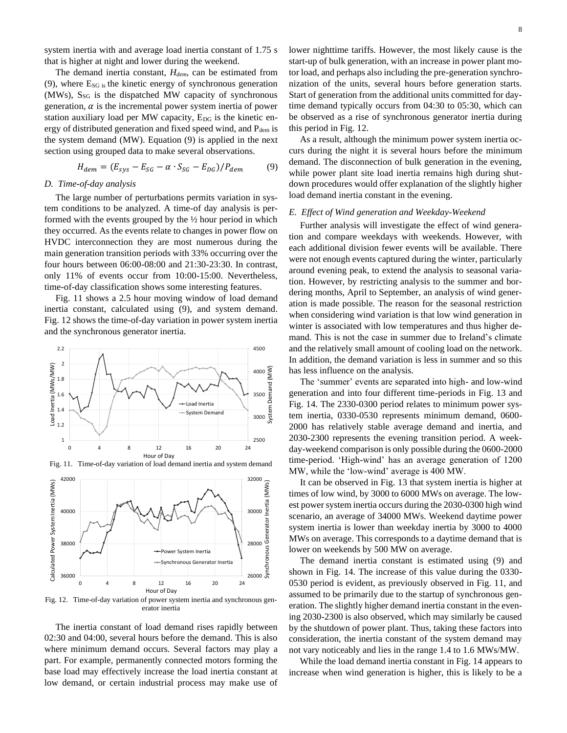system inertia with and average load inertia constant of 1.75 s that is higher at night and lower during the weekend.

The demand inertia constant, *Hdem*, can be estimated from  $(9)$ , where  $E_{SG}$  is the kinetic energy of synchronous generation  $(MWs)$ ,  $S_{SG}$  is the dispatched MW capacity of synchronous generation,  $\alpha$  is the incremental power system inertia of power station auxiliary load per MW capacity, E<sub>DG</sub> is the kinetic energy of distributed generation and fixed speed wind, and  $P_{dem}$  is the system demand (MW). Equation (9) is applied in the next section using grouped data to make several observations.

$$
H_{dem} = (E_{sys} - E_{SG} - \alpha \cdot S_{SG} - E_{DG})/P_{dem}
$$
 (9)

# *D. Time-of-day analysis*

The large number of perturbations permits variation in system conditions to be analyzed. A time-of day analysis is performed with the events grouped by the ½ hour period in which they occurred. As the events relate to changes in power flow on HVDC interconnection they are most numerous during the main generation transition periods with 33% occurring over the four hours between 06:00-08:00 and 21:30-23:30. In contrast, only 11% of events occur from 10:00-15:00. Nevertheless, time-of-day classification shows some interesting features.

Fig. 11 shows a 2.5 hour moving window of load demand inertia constant, calculated using (9), and system demand. Fig. 12 shows the time-of-day variation in power system inertia and the synchronous generator inertia.





Fig. 12. Time-of-day variation of power system inertia and synchronous generator inertia

The inertia constant of load demand rises rapidly between 02:30 and 04:00, several hours before the demand. This is also where minimum demand occurs. Several factors may play a part. For example, permanently connected motors forming the base load may effectively increase the load inertia constant at low demand, or certain industrial process may make use of lower nighttime tariffs. However, the most likely cause is the start-up of bulk generation, with an increase in power plant motor load, and perhaps also including the pre-generation synchronization of the units, several hours before generation starts. Start of generation from the additional units committed for daytime demand typically occurs from 04:30 to 05:30, which can be observed as a rise of synchronous generator inertia during this period in Fig. 12.

As a result, although the minimum power system inertia occurs during the night it is several hours before the minimum demand. The disconnection of bulk generation in the evening, while power plant site load inertia remains high during shutdown procedures would offer explanation of the slightly higher load demand inertia constant in the evening.

# *E. Effect of Wind generation and Weekday-Weekend*

Further analysis will investigate the effect of wind generation and compare weekdays with weekends. However, with each additional division fewer events will be available. There were not enough events captured during the winter, particularly around evening peak, to extend the analysis to seasonal variation. However, by restricting analysis to the summer and bordering months, April to September, an analysis of wind generation is made possible. The reason for the seasonal restriction when considering wind variation is that low wind generation in winter is associated with low temperatures and thus higher demand. This is not the case in summer due to Ireland's climate and the relatively small amount of cooling load on the network. In addition, the demand variation is less in summer and so this has less influence on the analysis.

The 'summer' events are separated into high- and low-wind generation and into four different time-periods in Fig. 13 and Fig. 14. The 2330-0300 period relates to minimum power system inertia, 0330-0530 represents minimum demand, 0600- 2000 has relatively stable average demand and inertia, and 2030-2300 represents the evening transition period. A weekday-weekend comparison is only possible during the 0600-2000 time-period. 'High-wind' has an average generation of 1200 MW, while the 'low-wind' average is 400 MW.

It can be observed in Fig. 13 that system inertia is higher at times of low wind, by 3000 to 6000 MWs on average. The lowest power system inertia occurs during the 2030-0300 high wind scenario, an average of 34000 MWs. Weekend daytime power system inertia is lower than weekday inertia by 3000 to 4000 MWs on average. This corresponds to a daytime demand that is lower on weekends by 500 MW on average.

The demand inertia constant is estimated using (9) and shown in Fig. 14. The increase of this value during the 0330- 0530 period is evident, as previously observed in Fig. 11, and assumed to be primarily due to the startup of synchronous generation. The slightly higher demand inertia constant in the evening 2030-2300 is also observed, which may similarly be caused by the shutdown of power plant. Thus, taking these factors into consideration, the inertia constant of the system demand may not vary noticeably and lies in the range 1.4 to 1.6 MWs/MW.

While the load demand inertia constant in Fig. 14 appears to increase when wind generation is higher, this is likely to be a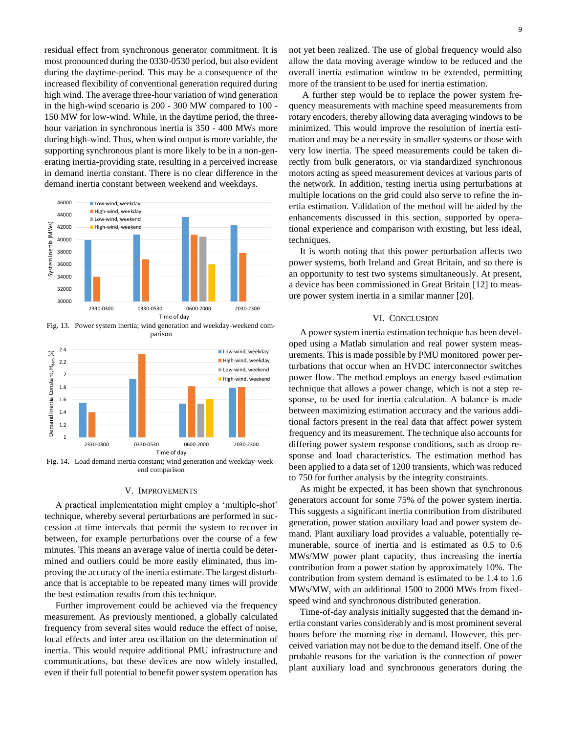residual effect from synchronous generator commitment. It is most pronounced during the 0330-0530 period, but also evident during the daytime-period. This may be a consequence of the increased flexibility of conventional generation required during high wind. The average three-hour variation of wind generation in the high-wind scenario is 200 - 300 MW compared to 100 - 150 MW for low-wind. While, in the daytime period, the threehour variation in synchronous inertia is 350 - 400 MWs more during high-wind. Thus, when wind output is more variable, the supporting synchronous plant is more likely to be in a non-generating inertia-providing state, resulting in a perceived increase in demand inertia constant. There is no clear difference in the demand inertia constant between weekend and weekdays.



Fig. 13. Power system inertia; wind generation and weekday-weekend comparison



Fig. 14. Load demand inertia constant; wind generation and weekday-weekend comparison

#### V. IMPROVEMENTS

A practical implementation might employ a 'multiple-shot' technique, whereby several perturbations are performed in succession at time intervals that permit the system to recover in between, for example perturbations over the course of a few minutes. This means an average value of inertia could be determined and outliers could be more easily eliminated, thus improving the accuracy of the inertia estimate. The largest disturbance that is acceptable to be repeated many times will provide the best estimation results from this technique.

Further improvement could be achieved via the frequency measurement. As previously mentioned, a globally calculated frequency from several sites would reduce the effect of noise, local effects and inter area oscillation on the determination of inertia. This would require additional PMU infrastructure and communications, but these devices are now widely installed, even if their full potential to benefit power system operation has

not yet been realized. The use of global frequency would also allow the data moving average window to be reduced and the overall inertia estimation window to be extended, permitting more of the transient to be used for inertia estimation.

A further step would be to replace the power system frequency measurements with machine speed measurements from rotary encoders, thereby allowing data averaging windows to be minimized. This would improve the resolution of inertia estimation and may be a necessity in smaller systems or those with very low inertia. The speed measurements could be taken directly from bulk generators, or via standardized synchronous motors acting as speed measurement devices at various parts of the network. In addition, testing inertia using perturbations at multiple locations on the grid could also serve to refine the inertia estimation. Validation of the method will be aided by the enhancements discussed in this section, supported by operational experience and comparison with existing, but less ideal, techniques.

It is worth noting that this power perturbation affects two power systems, both Ireland and Great Britain, and so there is an opportunity to test two systems simultaneously. At present, a device has been commissioned in Great Britain [12] to measure power system inertia in a similar manner [20].

## VI. CONCLUSION

A power system inertia estimation technique has been developed using a Matlab simulation and real power system measurements. This is made possible by PMU monitored power perturbations that occur when an HVDC interconnector switches power flow. The method employs an energy based estimation technique that allows a power change, which is not a step response, to be used for inertia calculation. A balance is made between maximizing estimation accuracy and the various additional factors present in the real data that affect power system frequency and its measurement. The technique also accounts for differing power system response conditions, such as droop response and load characteristics. The estimation method has been applied to a data set of 1200 transients, which was reduced to 750 for further analysis by the integrity constraints.

As might be expected, it has been shown that synchronous generators account for some 75% of the power system inertia. This suggests a significant inertia contribution from distributed generation, power station auxiliary load and power system demand. Plant auxiliary load provides a valuable, potentially remunerable, source of inertia and is estimated as 0.5 to 0.6 MWs/MW power plant capacity, thus increasing the inertia contribution from a power station by approximately 10%. The contribution from system demand is estimated to be 1.4 to 1.6 MWs/MW, with an additional 1500 to 2000 MWs from fixedspeed wind and synchronous distributed generation.

Time-of-day analysis initially suggested that the demand inertia constant varies considerably and is most prominent several hours before the morning rise in demand. However, this perceived variation may not be due to the demand itself. One of the probable reasons for the variation is the connection of power plant auxiliary load and synchronous generators during the